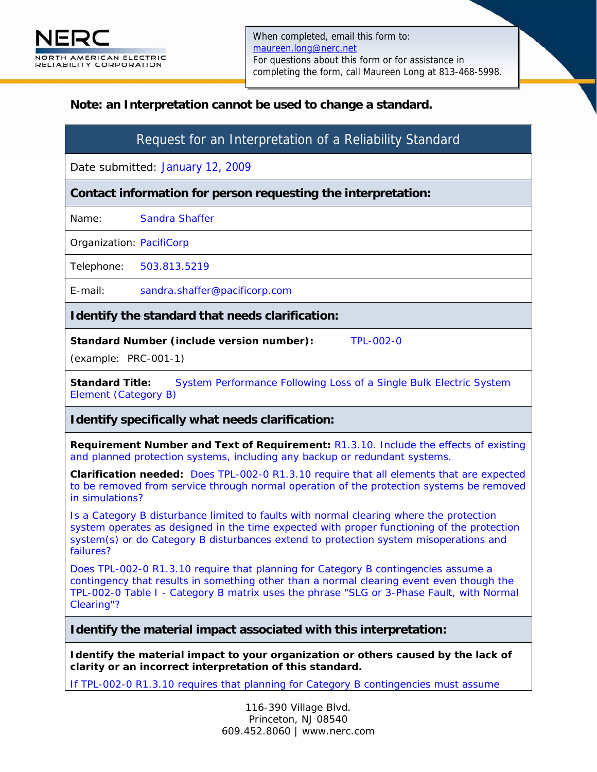## **Note: an Interpretation cannot be used to change a standard.**

# Request for an Interpretation of a Reliability Standard

Date submitted: January 12, 2009

**Contact information for person requesting the interpretation:** 

Name: Sandra Shaffer

Organization: PacifiCorp

Telephone: 503.813.5219

E-mail: sandra.shaffer@pacificorp.com

### **Identify the standard that needs clarification:**

**Standard Number (include version number):** TPL-002-0

(example: PRC-001-1)

**Standard Title:** System Performance Following Loss of a Single Bulk Electric System Element (Category B)

### **Identify specifically what needs clarification:**

**Requirement Number and Text of Requirement:** R1.3.10. Include the effects of existing and planned protection systems, including any backup or redundant systems.

**Clarification needed:** Does TPL-002-0 R1.3.10 require that all elements that are expected to be removed from service through normal operation of the protection systems be removed in simulations?

Is a Category B disturbance limited to faults with normal clearing where the protection system operates as designed in the time expected with proper functioning of the protection system(s) or do Category B disturbances extend to protection system misoperations and failures?

Does TPL-002-0 R1.3.10 require that planning for Category B contingencies assume a contingency that results in something other than a normal clearing event even though the TPL-002-0 Table I - Category B matrix uses the phrase "SLG or 3-Phase Fault, with Normal Clearing"?

### **Identify the material impact associated with this interpretation:**

**Identify the material impact to your organization or others caused by the lack of clarity or an incorrect interpretation of this standard.** 

If TPL-002-0 R1.3.10 requires that planning for Category B contingencies must assume

116-390 Village Blvd. Princeton, NJ 08540 609.452.8060 | www.nerc.com